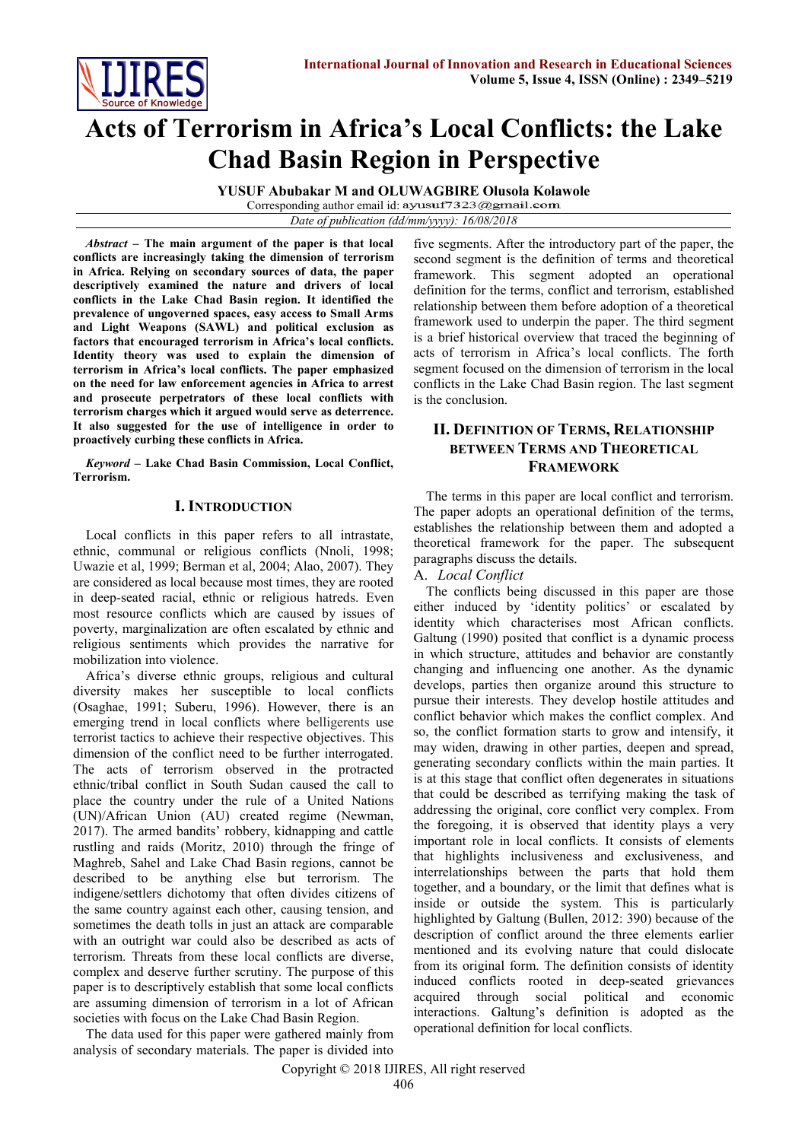

# **Acts of Terrorism in Africa's Local Conflicts: the Lake Chad Basin Region in Perspective**

**YUSUF Abubakar M and OLUWAGBIRE Olusola Kolawole** Corresponding author email id: ayusuf7323@gmail.com

*Date of publication (dd/mm/yyyy): 16/08/2018*

*Abstract* **– The main argument of the paper is that local conflicts are increasingly taking the dimension of terrorism in Africa. Relying on secondary sources of data, the paper descriptively examined the nature and drivers of local conflicts in the Lake Chad Basin region. It identified the prevalence of ungoverned spaces, easy access to Small Arms and Light Weapons (SAWL) and political exclusion as factors that encouraged terrorism in Africa's local conflicts. Identity theory was used to explain the dimension of terrorism in Africa's local conflicts. The paper emphasized on the need for law enforcement agencies in Africa to arrest and prosecute perpetrators of these local conflicts with terrorism charges which it argued would serve as deterrence. It also suggested for the use of intelligence in order to proactively curbing these conflicts in Africa.** 

*Keyword* **– Lake Chad Basin Commission, Local Conflict, Terrorism.** 

## **I. INTRODUCTION**

Local conflicts in this paper refers to all intrastate, ethnic, communal or religious conflicts (Nnoli, 1998; Uwazie et al, 1999; Berman et al, 2004; Alao, 2007). They are considered as local because most times, they are rooted in deep-seated racial, ethnic or religious hatreds. Even most resource conflicts which are caused by issues of poverty, marginalization are often escalated by ethnic and religious sentiments which provides the narrative for mobilization into violence.

Africa's diverse ethnic groups, religious and cultural diversity makes her susceptible to local conflicts (Osaghae, 1991; Suberu, 1996). However, there is an emerging trend in local conflicts where belligerents use terrorist tactics to achieve their respective objectives. This dimension of the conflict need to be further interrogated. The acts of terrorism observed in the protracted ethnic/tribal conflict in South Sudan caused the call to place the country under the rule of a United Nations (UN)/African Union (AU) created regime (Newman, 2017). The armed bandits' robbery, kidnapping and cattle rustling and raids (Moritz, 2010) through the fringe of Maghreb, Sahel and Lake Chad Basin regions, cannot be described to be anything else but terrorism. The indigene/settlers dichotomy that often divides citizens of the same country against each other, causing tension, and sometimes the death tolls in just an attack are comparable with an outright war could also be described as acts of terrorism. Threats from these local conflicts are diverse, complex and deserve further scrutiny. The purpose of this paper is to descriptively establish that some local conflicts are assuming dimension of terrorism in a lot of African societies with focus on the Lake Chad Basin Region.

The data used for this paper were gathered mainly from analysis of secondary materials. The paper is divided into

five segments. After the introductory part of the paper, the second segment is the definition of terms and theoretical framework. This segment adopted an operational definition for the terms, conflict and terrorism, established relationship between them before adoption of a theoretical framework used to underpin the paper. The third segment is a brief historical overview that traced the beginning of acts of terrorism in Africa's local conflicts. The forth segment focused on the dimension of terrorism in the local conflicts in the Lake Chad Basin region. The last segment is the conclusion.

# **II. DEFINITION OF TERMS, RELATIONSHIP BETWEEN TERMS AND THEORETICAL FRAMEWORK**

The terms in this paper are local conflict and terrorism. The paper adopts an operational definition of the terms, establishes the relationship between them and adopted a theoretical framework for the paper. The subsequent paragraphs discuss the details.

## A. *Local Conflict*

The conflicts being discussed in this paper are those either induced by 'identity politics' or escalated by identity which characterises most African conflicts. Galtung (1990) posited that conflict is a dynamic process in which structure, attitudes and behavior are constantly changing and influencing one another. As the dynamic develops, parties then organize around this structure to pursue their interests. They develop hostile attitudes and conflict behavior which makes the conflict complex. And so, the conflict formation starts to grow and intensify, it may widen, drawing in other parties, deepen and spread, generating secondary conflicts within the main parties. It is at this stage that conflict often degenerates in situations that could be described as terrifying making the task of addressing the original, core conflict very complex. From the foregoing, it is observed that identity plays a very important role in local conflicts. It consists of elements that highlights inclusiveness and exclusiveness, and interrelationships between the parts that hold them together, and a boundary, or the limit that defines what is inside or outside the system. This is particularly highlighted by Galtung (Bullen, 2012: 390) because of the description of conflict around the three elements earlier mentioned and its evolving nature that could dislocate from its original form. The definition consists of identity induced conflicts rooted in deep-seated grievances acquired through social political and economic interactions. Galtung's definition is adopted as the operational definition for local conflicts.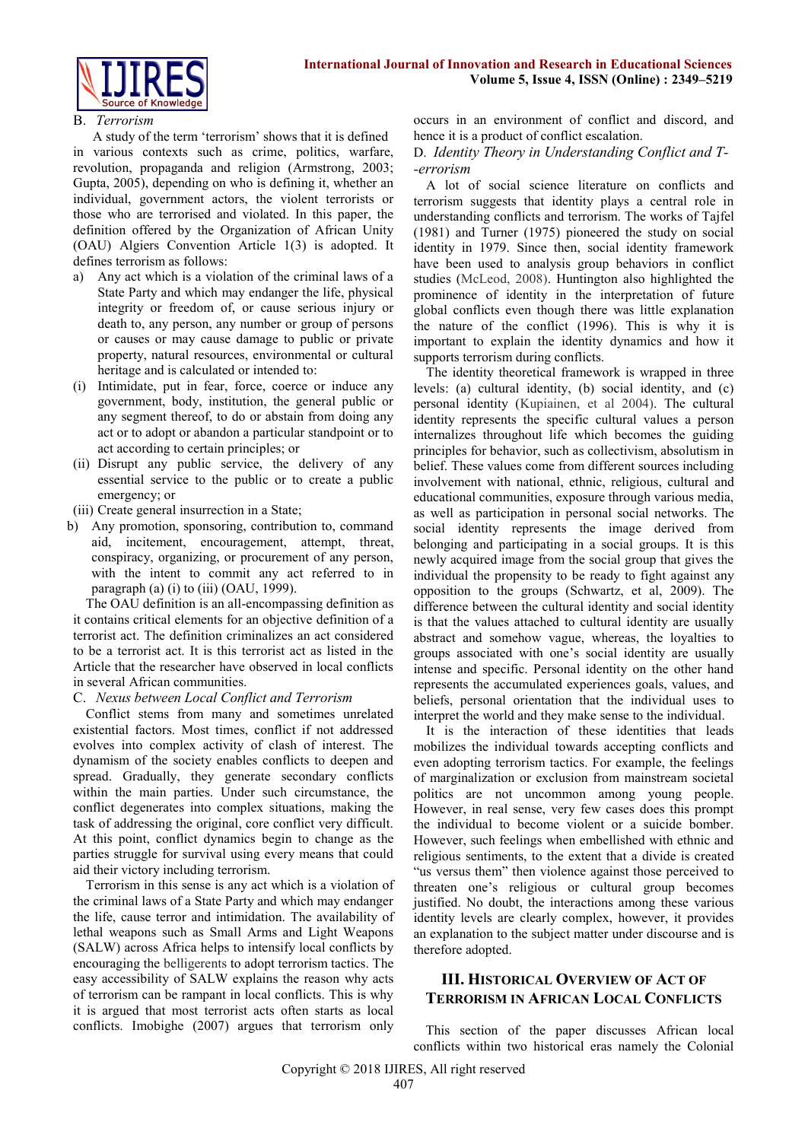

#### B. *Terrorism*

 A study of the term 'terrorism' shows that it is defined in various contexts such as crime, politics, warfare, revolution, propaganda and religion (Armstrong, 2003; Gupta, 2005), depending on who is defining it, whether an individual, government actors, the violent terrorists or those who are terrorised and violated. In this paper, the definition offered by the Organization of African Unity (OAU) Algiers Convention Article 1(3) is adopted. It defines terrorism as follows:

- a) Any act which is a violation of the criminal laws of a State Party and which may endanger the life, physical integrity or freedom of, or cause serious injury or death to, any person, any number or group of persons or causes or may cause damage to public or private property, natural resources, environmental or cultural heritage and is calculated or intended to:
- (i) Intimidate, put in fear, force, coerce or induce any government, body, institution, the general public or any segment thereof, to do or abstain from doing any act or to adopt or abandon a particular standpoint or to act according to certain principles; or
- (ii) Disrupt any public service, the delivery of any essential service to the public or to create a public emergency; or
- (iii) Create general insurrection in a State;
- b) Any promotion, sponsoring, contribution to, command aid, incitement, encouragement, attempt, threat, conspiracy, organizing, or procurement of any person, with the intent to commit any act referred to in paragraph (a) (i) to (iii) (OAU, 1999).

The OAU definition is an all-encompassing definition as it contains critical elements for an objective definition of a terrorist act. The definition criminalizes an act considered to be a terrorist act. It is this terrorist act as listed in the Article that the researcher have observed in local conflicts in several African communities.

#### C. *Nexus between Local Conflict and Terrorism*

Conflict stems from many and sometimes unrelated existential factors. Most times, conflict if not addressed evolves into complex activity of clash of interest. The dynamism of the society enables conflicts to deepen and spread. Gradually, they generate secondary conflicts within the main parties. Under such circumstance, the conflict degenerates into complex situations, making the task of addressing the original, core conflict very difficult. At this point, conflict dynamics begin to change as the parties struggle for survival using every means that could aid their victory including terrorism.

Terrorism in this sense is any act which is a violation of the criminal laws of a State Party and which may endanger the life, cause terror and intimidation. The availability of lethal weapons such as Small Arms and Light Weapons (SALW) across Africa helps to intensify local conflicts by encouraging the belligerents to adopt terrorism tactics. The easy accessibility of SALW explains the reason why acts of terrorism can be rampant in local conflicts. This is why it is argued that most terrorist acts often starts as local conflicts. Imobighe (2007) argues that terrorism only

occurs in an environment of conflict and discord, and hence it is a product of conflict escalation.

#### D. *Identity Theory in Understanding Conflict and T- -errorism*

A lot of social science literature on conflicts and terrorism suggests that identity plays a central role in understanding conflicts and terrorism. The works of Tajfel (1981) and Turner (1975) pioneered the study on social identity in 1979. Since then, social identity framework have been used to analysis group behaviors in conflict studies (McLeod, 2008). Huntington also highlighted the prominence of identity in the interpretation of future global conflicts even though there was little explanation the nature of the conflict (1996). This is why it is important to explain the identity dynamics and how it supports terrorism during conflicts.

The identity theoretical framework is wrapped in three levels: (a) cultural identity, (b) social identity, and (c) personal identity (Kupiainen, et al 2004). The cultural identity represents the specific cultural values a person internalizes throughout life which becomes the guiding principles for behavior, such as collectivism, absolutism in belief. These values come from different sources including involvement with national, ethnic, religious, cultural and educational communities, exposure through various media, as well as participation in personal social networks. The social identity represents the image derived from belonging and participating in a social groups. It is this newly acquired image from the social group that gives the individual the propensity to be ready to fight against any opposition to the groups (Schwartz, et al, 2009). The difference between the cultural identity and social identity is that the values attached to cultural identity are usually abstract and somehow vague, whereas, the loyalties to groups associated with one's social identity are usually intense and specific. Personal identity on the other hand represents the accumulated experiences goals, values, and beliefs, personal orientation that the individual uses to interpret the world and they make sense to the individual.

It is the interaction of these identities that leads mobilizes the individual towards accepting conflicts and even adopting terrorism tactics. For example, the feelings of marginalization or exclusion from mainstream societal politics are not uncommon among young people. However, in real sense, very few cases does this prompt the individual to become violent or a suicide bomber. However, such feelings when embellished with ethnic and religious sentiments, to the extent that a divide is created "us versus them" then violence against those perceived to threaten one's religious or cultural group becomes justified. No doubt, the interactions among these various identity levels are clearly complex, however, it provides an explanation to the subject matter under discourse and is therefore adopted.

# **III. HISTORICAL OVERVIEW OF ACT OF TERRORISM IN AFRICAN LOCAL CONFLICTS**

This section of the paper discusses African local conflicts within two historical eras namely the Colonial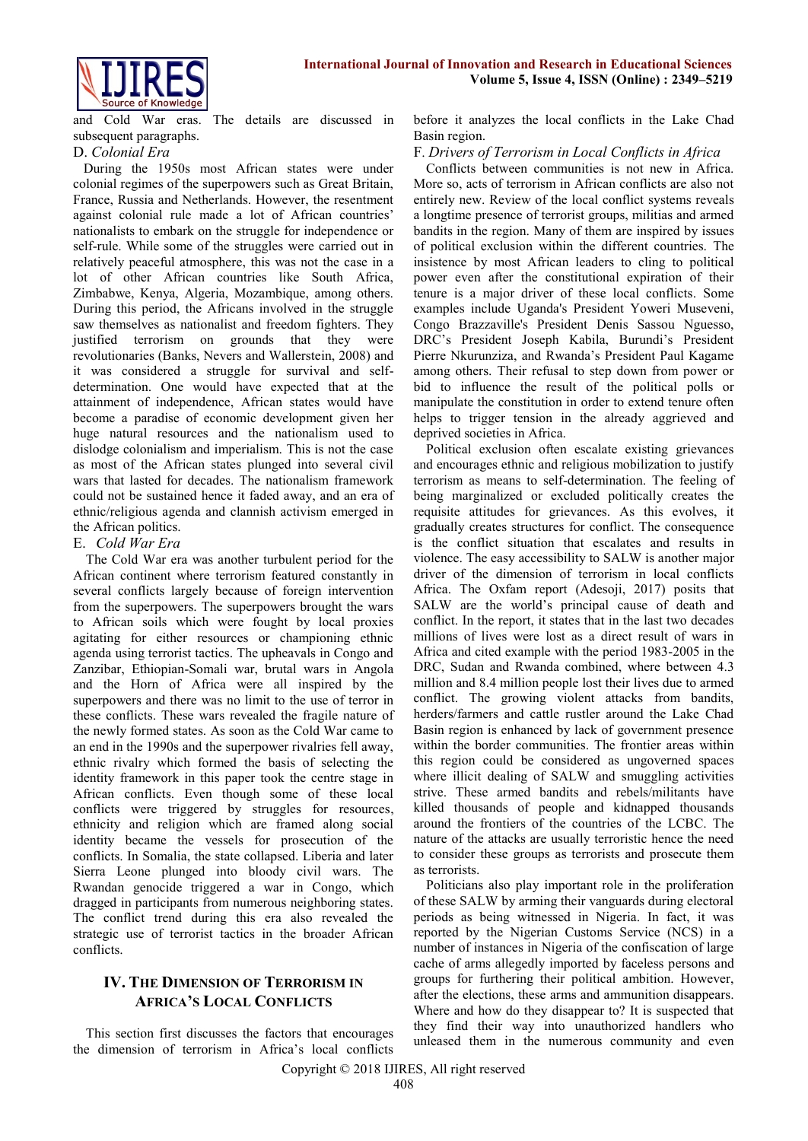



and Cold War eras. The details are discussed in subsequent paragraphs.

### D. *Colonial Era*

 During the 1950s most African states were under colonial regimes of the superpowers such as Great Britain, France, Russia and Netherlands. However, the resentment against colonial rule made a lot of African countries' nationalists to embark on the struggle for independence or self-rule. While some of the struggles were carried out in relatively peaceful atmosphere, this was not the case in a lot of other African countries like South Africa, Zimbabwe, Kenya, Algeria, Mozambique, among others. During this period, the Africans involved in the struggle saw themselves as nationalist and freedom fighters. They justified terrorism on grounds that they were revolutionaries (Banks, Nevers and Wallerstein, 2008) and it was considered a struggle for survival and selfdetermination. One would have expected that at the attainment of independence, African states would have become a paradise of economic development given her huge natural resources and the nationalism used to dislodge colonialism and imperialism. This is not the case as most of the African states plunged into several civil wars that lasted for decades. The nationalism framework could not be sustained hence it faded away, and an era of ethnic/religious agenda and clannish activism emerged in the African politics.

## E. *Cold War Era*

The Cold War era was another turbulent period for the African continent where terrorism featured constantly in several conflicts largely because of foreign intervention from the superpowers. The superpowers brought the wars to African soils which were fought by local proxies agitating for either resources or championing ethnic agenda using terrorist tactics. The upheavals in Congo and Zanzibar, Ethiopian-Somali war, brutal wars in Angola and the Horn of Africa were all inspired by the superpowers and there was no limit to the use of terror in these conflicts. These wars revealed the fragile nature of the newly formed states. As soon as the Cold War came to an end in the 1990s and the superpower rivalries fell away, ethnic rivalry which formed the basis of selecting the identity framework in this paper took the centre stage in African conflicts. Even though some of these local conflicts were triggered by struggles for resources, ethnicity and religion which are framed along social identity became the vessels for prosecution of the conflicts. In Somalia, the state collapsed. Liberia and later Sierra Leone plunged into bloody civil wars. The Rwandan genocide triggered a war in Congo, which dragged in participants from numerous neighboring states. The conflict trend during this era also revealed the strategic use of terrorist tactics in the broader African conflicts.

# **IV. THE DIMENSION OF TERRORISM IN AFRICA'S LOCAL CONFLICTS**

This section first discusses the factors that encourages the dimension of terrorism in Africa's local conflicts

before it analyzes the local conflicts in the Lake Chad Basin region.

#### F. *Drivers of Terrorism in Local Conflicts in Africa*

Conflicts between communities is not new in Africa. More so, acts of terrorism in African conflicts are also not entirely new. Review of the local conflict systems reveals a longtime presence of terrorist groups, militias and armed bandits in the region. Many of them are inspired by issues of political exclusion within the different countries. The insistence by most African leaders to cling to political power even after the constitutional expiration of their tenure is a major driver of these local conflicts. Some examples include Uganda's President Yoweri Museveni, Congo Brazzaville's President Denis Sassou Nguesso, DRC's President Joseph Kabila, Burundi's President Pierre Nkurunziza, and Rwanda's President Paul Kagame among others. Their refusal to step down from power or bid to influence the result of the political polls or manipulate the constitution in order to extend tenure often helps to trigger tension in the already aggrieved and deprived societies in Africa.

Political exclusion often escalate existing grievances and encourages ethnic and religious mobilization to justify terrorism as means to self-determination. The feeling of being marginalized or excluded politically creates the requisite attitudes for grievances. As this evolves, it gradually creates structures for conflict. The consequence is the conflict situation that escalates and results in violence. The easy accessibility to SALW is another major driver of the dimension of terrorism in local conflicts Africa. The Oxfam report (Adesoji, 2017) posits that SALW are the world's principal cause of death and conflict. In the report, it states that in the last two decades millions of lives were lost as a direct result of wars in Africa and cited example with the period 1983-2005 in the DRC, Sudan and Rwanda combined, where between 4.3 million and 8.4 million people lost their lives due to armed conflict. The growing violent attacks from bandits, herders/farmers and cattle rustler around the Lake Chad Basin region is enhanced by lack of government presence within the border communities. The frontier areas within this region could be considered as ungoverned spaces where illicit dealing of SALW and smuggling activities strive. These armed bandits and rebels/militants have killed thousands of people and kidnapped thousands around the frontiers of the countries of the LCBC. The nature of the attacks are usually terroristic hence the need to consider these groups as terrorists and prosecute them as terrorists.

Politicians also play important role in the proliferation of these SALW by arming their vanguards during electoral periods as being witnessed in Nigeria. In fact, it was reported by the Nigerian Customs Service (NCS) in a number of instances in Nigeria of the confiscation of large cache of arms allegedly imported by faceless persons and groups for furthering their political ambition. However, after the elections, these arms and ammunition disappears. Where and how do they disappear to? It is suspected that they find their way into unauthorized handlers who unleased them in the numerous community and even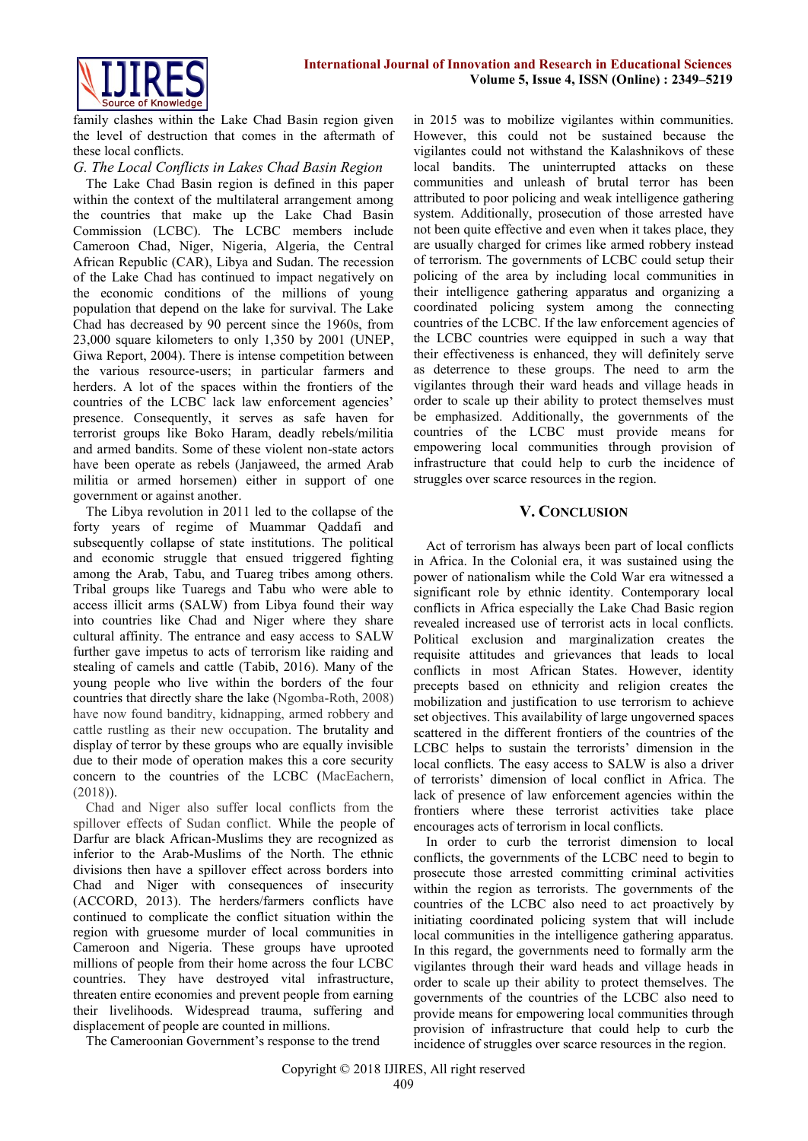

family clashes within the Lake Chad Basin region given the level of destruction that comes in the aftermath of these local conflicts.

#### *G. The Local Conflicts in Lakes Chad Basin Region*

The Lake Chad Basin region is defined in this paper within the context of the multilateral arrangement among the countries that make up the Lake Chad Basin Commission (LCBC). The LCBC members include Cameroon Chad, Niger, Nigeria, Algeria, the Central African Republic (CAR), Libya and Sudan. The recession of the Lake Chad has continued to impact negatively on the economic conditions of the millions of young population that depend on the lake for survival. The Lake Chad has decreased by 90 percent since the 1960s, from 23,000 square kilometers to only 1,350 by 2001 (UNEP, Giwa Report, 2004). There is intense competition between the various resource-users; in particular farmers and herders. A lot of the spaces within the frontiers of the countries of the LCBC lack law enforcement agencies' presence. Consequently, it serves as safe haven for terrorist groups like Boko Haram, deadly rebels/militia and armed bandits. Some of these violent non-state actors have been operate as rebels (Janjaweed, the armed Arab militia or armed horsemen) either in support of one government or against another.

The Libya revolution in 2011 led to the collapse of the forty years of regime of Muammar Qaddafi and subsequently collapse of state institutions. The political and economic struggle that ensued triggered fighting among the Arab, Tabu, and Tuareg tribes among others. Tribal groups like Tuaregs and Tabu who were able to access illicit arms (SALW) from Libya found their way into countries like Chad and Niger where they share cultural affinity. The entrance and easy access to SALW further gave impetus to acts of terrorism like raiding and stealing of camels and cattle (Tabib, 2016). Many of the young people who live within the borders of the four countries that directly share the lake (Ngomba-Roth, 2008) have now found banditry, kidnapping, armed robbery and cattle rustling as their new occupation. The brutality and display of terror by these groups who are equally invisible due to their mode of operation makes this a core security concern to the countries of the LCBC (MacEachern, (2018)).

Chad and Niger also suffer local conflicts from the spillover effects of Sudan conflict. While the people of Darfur are black African-Muslims they are recognized as inferior to the Arab-Muslims of the North. The ethnic divisions then have a spillover effect across borders into Chad and Niger with consequences of insecurity (ACCORD, 2013). The herders/farmers conflicts have continued to complicate the conflict situation within the region with gruesome murder of local communities in Cameroon and Nigeria. These groups have uprooted millions of people from their home across the four LCBC countries. They have destroyed vital infrastructure, threaten entire economies and prevent people from earning their livelihoods. Widespread trauma, suffering and displacement of people are counted in millions.

in 2015 was to mobilize vigilantes within communities. However, this could not be sustained because the vigilantes could not withstand the Kalashnikovs of these local bandits. The uninterrupted attacks on these communities and unleash of brutal terror has been attributed to poor policing and weak intelligence gathering system. Additionally, prosecution of those arrested have not been quite effective and even when it takes place, they are usually charged for crimes like armed robbery instead of terrorism. The governments of LCBC could setup their policing of the area by including local communities in their intelligence gathering apparatus and organizing a coordinated policing system among the connecting countries of the LCBC. If the law enforcement agencies of the LCBC countries were equipped in such a way that their effectiveness is enhanced, they will definitely serve as deterrence to these groups. The need to arm the vigilantes through their ward heads and village heads in order to scale up their ability to protect themselves must be emphasized. Additionally, the governments of the countries of the LCBC must provide means for empowering local communities through provision of infrastructure that could help to curb the incidence of struggles over scarce resources in the region.

#### **V. CONCLUSION**

Act of terrorism has always been part of local conflicts in Africa. In the Colonial era, it was sustained using the power of nationalism while the Cold War era witnessed a significant role by ethnic identity. Contemporary local conflicts in Africa especially the Lake Chad Basic region revealed increased use of terrorist acts in local conflicts. Political exclusion and marginalization creates the requisite attitudes and grievances that leads to local conflicts in most African States. However, identity precepts based on ethnicity and religion creates the mobilization and justification to use terrorism to achieve set objectives. This availability of large ungoverned spaces scattered in the different frontiers of the countries of the LCBC helps to sustain the terrorists' dimension in the local conflicts. The easy access to SALW is also a driver of terrorists' dimension of local conflict in Africa. The lack of presence of law enforcement agencies within the frontiers where these terrorist activities take place encourages acts of terrorism in local conflicts.

In order to curb the terrorist dimension to local conflicts, the governments of the LCBC need to begin to prosecute those arrested committing criminal activities within the region as terrorists. The governments of the countries of the LCBC also need to act proactively by initiating coordinated policing system that will include local communities in the intelligence gathering apparatus. In this regard, the governments need to formally arm the vigilantes through their ward heads and village heads in order to scale up their ability to protect themselves. The governments of the countries of the LCBC also need to provide means for empowering local communities through provision of infrastructure that could help to curb the incidence of struggles over scarce resources in the region.

The Cameroonian Government's response to the trend